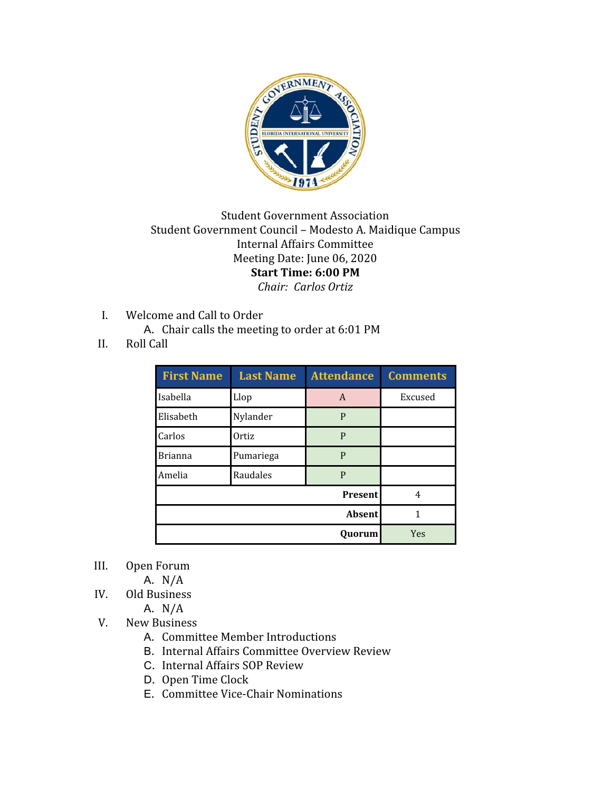

## Student Government Association Student Government Council – Modesto A. Maidique Campus Internal Affairs Committee Meeting Date: June 06, 2020 **Start Time: 6:00 PM** *Chair: Carlos Ortiz*

- I. Welcome and Call to Order
	- A. Chair calls the meeting to order at 6:01 PM
- II. Roll Call

| <b>First Name</b> | <b>Last Name</b> | <b>Attendance</b> | <b>Comments</b> |
|-------------------|------------------|-------------------|-----------------|
| Isabella          | Llop             | A                 | Excused         |
| Elisabeth         | Nylander         | P                 |                 |
| Carlos            | Ortiz            | P                 |                 |
| <b>Brianna</b>    | Pumariega        | P                 |                 |
| Amelia            | Raudales         | P                 |                 |
| <b>Present</b>    |                  |                   | 4               |
| <b>Absent</b>     |                  |                   | 1               |
| Ouorum            |                  |                   | Yes             |

- III. Open Forum
	- A. N/A
- IV. Old Business

A. N/A

- V. New Business
	- A. Committee Member Introductions
	- B. Internal Affairs Committee Overview Review
	- C. Internal Affairs SOP Review
	- D. Open Time Clock
	- E. Committee Vice-Chair Nominations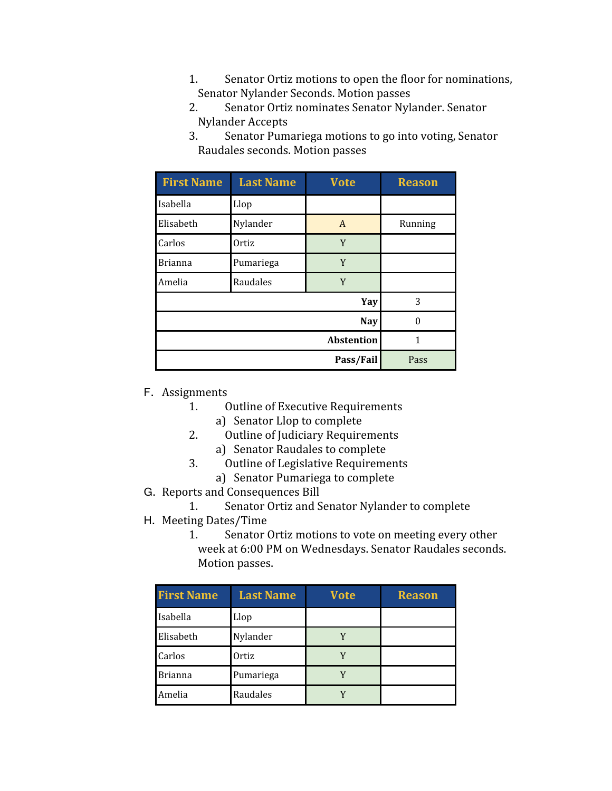- 1. Senator Ortiz motions to open the floor for nominations, Senator Nylander Seconds. Motion passes
- 2. Senator Ortiz nominates Senator Nylander. Senator Nylander Accepts
- 3. Senator Pumariega motions to go into voting, Senator Raudales seconds. Motion passes

| <b>First Name</b> | <b>Last Name</b> | <b>Vote</b> | <b>Reason</b> |
|-------------------|------------------|-------------|---------------|
| Isabella          | Llop             |             |               |
| Elisabeth         | Nylander         | A           | Running       |
| Carlos            | Ortiz            | Y           |               |
| <b>Brianna</b>    | Pumariega        | Y           |               |
| Amelia            | Raudales         | Y           |               |
|                   |                  | Yay         | 3             |
| <b>Nay</b>        |                  |             |               |
| <b>Abstention</b> |                  |             | 1             |
| Pass/Fail         |                  |             | Pass          |

- F. Assignments<br>1. (
	- **Outline of Executive Requirements** 
		- a) Senator Llop to complete
	- 2. Outline of Judiciary Requirements
		- a) Senator Raudales to complete
	- 3. Outline of Legislative Requirements
		- a) Senator Pumariega to complete
- G. Reports and Consequences Bill<br>1. Senator Ortiz and S
	- Senator Ortiz and Senator Nylander to complete
- H. Meeting Dates/Time
	- Senator Ortiz motions to vote on meeting every other week at 6:00 PM on Wednesdays. Senator Raudales seconds. Motion passes.

| <b>First Name</b> | <b>Last Name</b> | <b>Vote</b> | <b>Reason</b> |
|-------------------|------------------|-------------|---------------|
| Isabella          | Llop             |             |               |
| Elisabeth         | Nylander         |             |               |
| Carlos            | Ortiz            |             |               |
| <b>Brianna</b>    | Pumariega        |             |               |
| Amelia            | Raudales         |             |               |